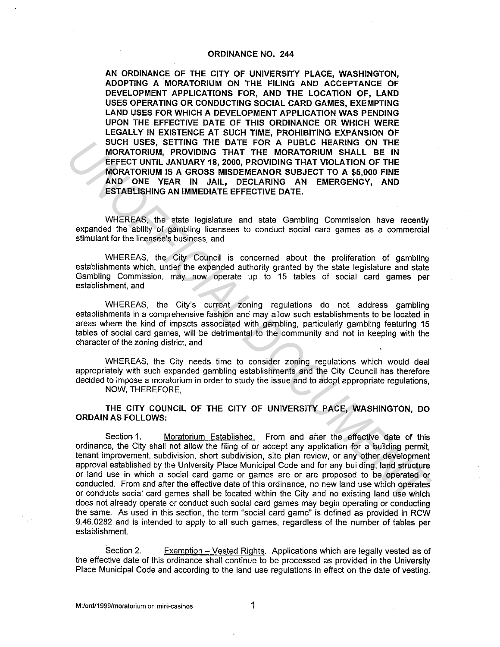## ORDINANCE NO. 244

AN ORDINANCE OF THE CITY OF UNIVERSITY PLACE, WASHINGTON, ADOPTING A MORATORIUM ON THE FILING AND ACCEPTANCE OF DEVELOPMENT APPLICATIONS FOR, AND THE LOCATION OF, LAND USES OPERATING OR CONDUCTING SOCIAL CARD GAMES, EXEMPTING LAND USES FOR WHICH A DEVELOPMENT APPLICATION WAS PENDING UPON THE EFFECTIVE DATE OF THIS ORDINANCE OR WHICH WERE LEGALLY IN EXISTENCE AT SUCH TIME, PROHIBITING EXPANSION OF SUCH USES, SETTING THE DATE FOR A PUBLC HEARING ON THE MORATORIUM, PROVIDING THAT THE MORATORIUM SHALL BE IN EFFECT UNTIL JANUARY 18, 2000, PROVIDING THAT VIOLATION OF THE MORATORIUM IS A GROSS MISDEMEANOR SUBJECT TO A \$5,000 FINE AND ONE YEAR IN JAIL, DECLARING AN EMERGENCY, AND ESTABLISHING AN IMMEDIATE EFFECTIVE DATE.

WHEREAS, the state legislature and state Gambling Commission have recently expanded the ability of gambling licensees to conduct social card games as a commercial stimulant for the licensee's business, and

WHEREAS, the City Council is concerned about the proliferation of gambling establishments which, under the expanded authority granted by the state legislature and state Gambling Commission, may now operate up to 15 tables of social card games per establishment, and

WHEREAS, the City's current zoning regulations do not address gambling establishments in a comprehensive fashion and may allow such establishments to be located in areas where the kind of impacts associated with gambling, particularly gambling featuring 15 tables of social card games, will be detrimental to the community and not in keeping with the character of the zoning district, and

WHEREAS, the City needs time to consider zoning regulations which would deal appropriately with such expanded gambling establishments and the City Council has therefore decided to impose a moratorium in order to study the issue and to adopt appropriate regulations, NOW, THEREFORE,

THE CITY COUNCIL OF THE CITY OF UNIVERSITY PACE, WASHINGTON, DO ORDAIN AS FOLLOWS:

Section-1. Moratorium Established. From and after the effective date of this ordinance, the City shall not allow the filing of or accept any application for a building permit, tenant improvement, subdivision, short subdivision, site plan review, or any other development approval established by the University Place Municipal Code and for any building, land structure or land use in which a social card game or games are or are proposed to be operated or conducted. From and after the effective date of this ordinance, no new land use which operates or conducts social card games shall be located within the City and no existing land use which does not already operate or conduct such social card games may begin operating or conducting the same. As used in this section, the term "social card game" is defined as provided in RCW 9.46.0282 and is intended to apply to all such games, regardless of the number of tables per establishment. SUCH USES, SETTING THE DATE FOR A PUBLC HEARING ON THE TOTATE AND A THE MORATORIUM, SHALL BE IN EFFECT UNIT. JANUARY 18, 2000, PROVIDING THAT VIOLATION TON THE HEFTER THE MORATORIUM IS A GROSS MISDEMEANOR SUBJECT TO A \$5,0

Section 2. Exemption – Vested Rights. Applications which are legally vested as of the effective date of this ordinance shall continue to be processed as provided in the University Place Municipal Code and according to the land use regulations in effect on the date of vesting.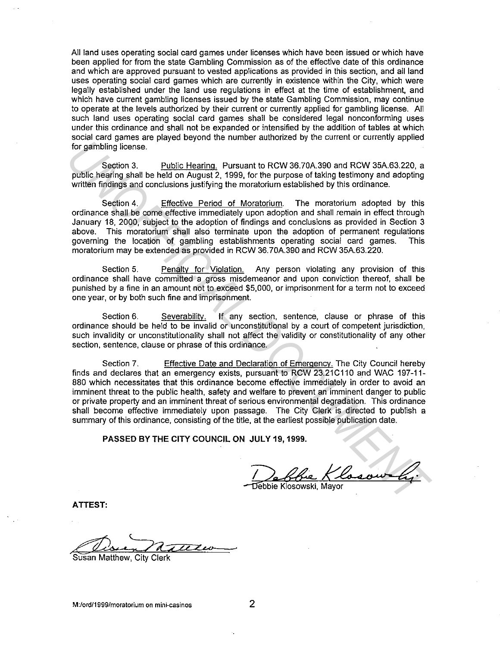All land uses operating social card games under licenses which have been issued or which have been applied for from the state Gambling Commission as of the effective date of this ordinance and which are approved pursuant to vested applications as provided in this section, and all land uses operating social card games which are currently in existence within the City, which were legally established under the land use regulations in effect at the time of establishment, and which have current gambling licenses issued by the state Gambling Commission, may continue to operate at the levels authorized by their current or currently applied for gambling license. All such land uses operating social card games shall be considered legal nonconforming uses under this ordinance and shall not be expanded or intensified by the addition of tables at which social card games are played beyond the number authorized by the current or currently applied for gambling license.

Section 3. Public Hearing. Pursuant to RCW 36.70A.390 and RCW 35A.63.220, a public hearing shall be held on August 2, 1999, for the purpose of taking testimony and adopting written findings and conclusions justifying the moratorium established by this ordinance.

Section 4. Effective Period of Moratorium. The moratorium adopted by this ordinance shall be come effective immediately upon adoption and shall remain in effect through January 18, 2000, subject to the adoption of findings and conclusions as provided in Section 3 above. This moratorium shall also terminate upon the adoption of permanent regulations governing the location of gambling establishments operating social card games. This moratorium may be extended as provided in RCW 36. 70A.390 and RCW 35A.63.220.

Section 5. Penaltv for Violation. Any person violating any provision of this ordinance shall have committed a gross misdemeanor and upon conviction thereof, shall be punished by a fine in an amount not to exceed \$5,000, or imprisonment for a term not to exceed one year, or by both such fine and imprisonment.

Section 6. Severability. If any section, sentence, clause or phrase of this ordinance should be held to be invalid or unconstitutional by a court of competent jurisdiction, such invalidity or unconstitutionality shall not affect the validity or constitutionality of any other section, sentence, clause or phrase of this ordinance.

Section 7. Effective Date and Declaration of Emergency. The City Council hereby finds and declares that an emergency exists, pursuant to RCW 23.21C110 and WAC 197-11-880 which necessitates that this ordinance become effective immediately in order to avoid an imminent threat to the public health, safety and welfare to prevent an imminent danger to public or private property and an imminent threat of serious environmental degradation. This ordinance shall become effective immediately upon passage. The City Clerk is directed to publish a summary of this ordinance, consisting of the title, at the earliest possible publication date. for gambling license.<br>
Section 3. Public hearing shall be held on August 2, 1999, for the purpose of factor 36, 200, a<br>
public hearing shall be held on August 2, 1999, for the purpose of factor 36A 63200, a<br>
public hearing

**PASSED BY THE CITY COUNCIL ON JULY 19, 1999.** 

Debbie Klosowski, Mayor

**ATTEST:** 

Susan Matthew, City Clerk